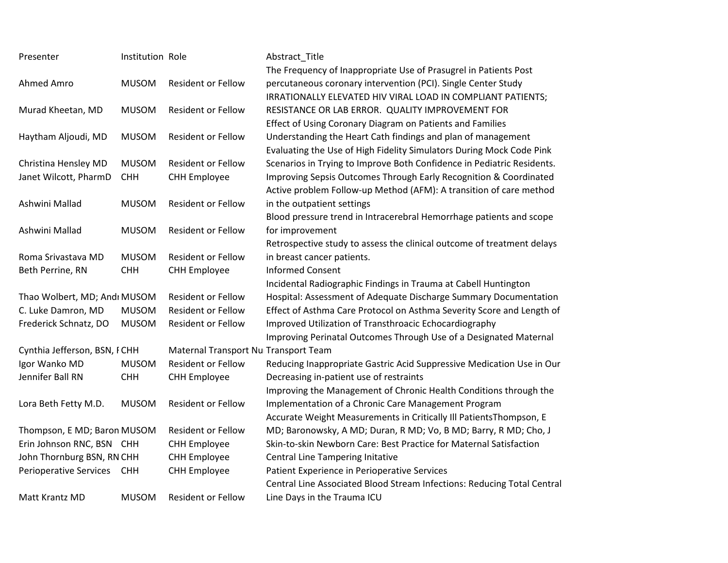| Presenter                    | Institution Role |                                      | Abstract_Title                                                          |
|------------------------------|------------------|--------------------------------------|-------------------------------------------------------------------------|
|                              |                  |                                      | The Frequency of Inappropriate Use of Prasugrel in Patients Post        |
| Ahmed Amro                   | <b>MUSOM</b>     | <b>Resident or Fellow</b>            | percutaneous coronary intervention (PCI). Single Center Study           |
|                              |                  |                                      | IRRATIONALLY ELEVATED HIV VIRAL LOAD IN COMPLIANT PATIENTS;             |
| Murad Kheetan, MD            | <b>MUSOM</b>     | <b>Resident or Fellow</b>            | RESISTANCE OR LAB ERROR. QUALITY IMPROVEMENT FOR                        |
|                              |                  |                                      | Effect of Using Coronary Diagram on Patients and Families               |
| Haytham Aljoudi, MD          | <b>MUSOM</b>     | <b>Resident or Fellow</b>            | Understanding the Heart Cath findings and plan of management            |
|                              |                  |                                      | Evaluating the Use of High Fidelity Simulators During Mock Code Pink    |
| Christina Hensley MD         | <b>MUSOM</b>     | <b>Resident or Fellow</b>            | Scenarios in Trying to Improve Both Confidence in Pediatric Residents.  |
| Janet Wilcott, PharmD        | <b>CHH</b>       | <b>CHH Employee</b>                  | Improving Sepsis Outcomes Through Early Recognition & Coordinated       |
|                              |                  |                                      | Active problem Follow-up Method (AFM): A transition of care method      |
| Ashwini Mallad               | <b>MUSOM</b>     | <b>Resident or Fellow</b>            | in the outpatient settings                                              |
|                              |                  |                                      | Blood pressure trend in Intracerebral Hemorrhage patients and scope     |
| Ashwini Mallad               | <b>MUSOM</b>     | <b>Resident or Fellow</b>            | for improvement                                                         |
|                              |                  |                                      | Retrospective study to assess the clinical outcome of treatment delays  |
| Roma Srivastava MD           | <b>MUSOM</b>     | <b>Resident or Fellow</b>            | in breast cancer patients.                                              |
| Beth Perrine, RN             | <b>CHH</b>       | <b>CHH Employee</b>                  | <b>Informed Consent</b>                                                 |
|                              |                  |                                      | Incidental Radiographic Findings in Trauma at Cabell Huntington         |
| Thao Wolbert, MD; Andı MUSOM |                  | <b>Resident or Fellow</b>            | Hospital: Assessment of Adequate Discharge Summary Documentation        |
| C. Luke Damron, MD           | <b>MUSOM</b>     | <b>Resident or Fellow</b>            | Effect of Asthma Care Protocol on Asthma Severity Score and Length of   |
| Frederick Schnatz, DO        | <b>MUSOM</b>     | Resident or Fellow                   | Improved Utilization of Transthroacic Echocardiography                  |
|                              |                  |                                      | Improving Perinatal Outcomes Through Use of a Designated Maternal       |
| Cynthia Jefferson, BSN, FCHH |                  | Maternal Transport Nu Transport Team |                                                                         |
| Igor Wanko MD                | <b>MUSOM</b>     | <b>Resident or Fellow</b>            | Reducing Inappropriate Gastric Acid Suppressive Medication Use in Our   |
| Jennifer Ball RN             | <b>CHH</b>       | <b>CHH Employee</b>                  | Decreasing in-patient use of restraints                                 |
|                              |                  |                                      | Improving the Management of Chronic Health Conditions through the       |
| Lora Beth Fetty M.D.         | <b>MUSOM</b>     | <b>Resident or Fellow</b>            | Implementation of a Chronic Care Management Program                     |
|                              |                  |                                      | Accurate Weight Measurements in Critically III Patients Thompson, E     |
| Thompson, E MD; Baron MUSOM  |                  | <b>Resident or Fellow</b>            | MD; Baronowsky, A MD; Duran, R MD; Vo, B MD; Barry, R MD; Cho, J        |
| Erin Johnson RNC, BSN CHH    |                  | <b>CHH Employee</b>                  | Skin-to-skin Newborn Care: Best Practice for Maternal Satisfaction      |
| John Thornburg BSN, RN CHH   |                  | <b>CHH Employee</b>                  | Central Line Tampering Initative                                        |
| Perioperative Services CHH   |                  | <b>CHH Employee</b>                  | Patient Experience in Perioperative Services                            |
|                              |                  |                                      | Central Line Associated Blood Stream Infections: Reducing Total Central |
| Matt Krantz MD               | <b>MUSOM</b>     | <b>Resident or Fellow</b>            | Line Days in the Trauma ICU                                             |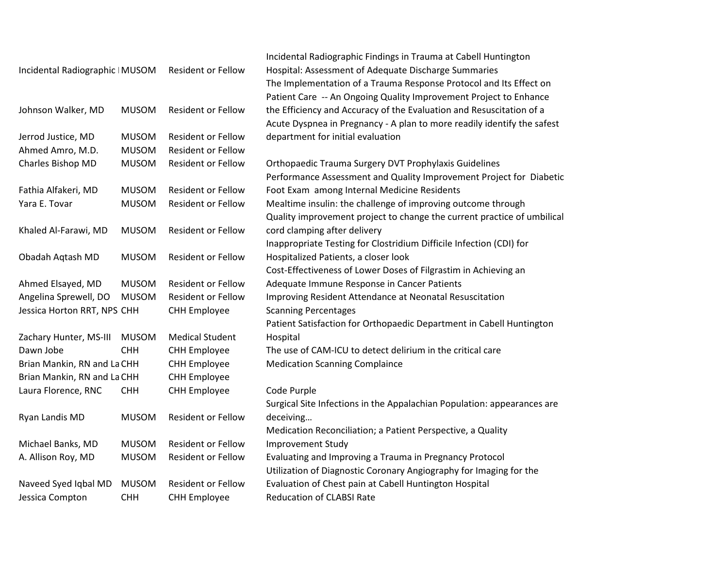|                                 |              |                           | Incidental Radiographic Findings in Trauma at Cabell Huntington         |
|---------------------------------|--------------|---------------------------|-------------------------------------------------------------------------|
| Incidental Radiographic   MUSOM |              | <b>Resident or Fellow</b> | Hospital: Assessment of Adequate Discharge Summaries                    |
|                                 |              |                           | The Implementation of a Trauma Response Protocol and Its Effect on      |
|                                 |              |                           | Patient Care -- An Ongoing Quality Improvement Project to Enhance       |
| Johnson Walker, MD              | <b>MUSOM</b> | <b>Resident or Fellow</b> | the Efficiency and Accuracy of the Evaluation and Resuscitation of a    |
|                                 |              |                           | Acute Dyspnea in Pregnancy - A plan to more readily identify the safest |
| Jerrod Justice, MD              | <b>MUSOM</b> | <b>Resident or Fellow</b> | department for initial evaluation                                       |
| Ahmed Amro, M.D.                | <b>MUSOM</b> | Resident or Fellow        |                                                                         |
| Charles Bishop MD               | <b>MUSOM</b> | Resident or Fellow        | Orthopaedic Trauma Surgery DVT Prophylaxis Guidelines                   |
|                                 |              |                           | Performance Assessment and Quality Improvement Project for Diabetic     |
| Fathia Alfakeri, MD             | <b>MUSOM</b> | <b>Resident or Fellow</b> | Foot Exam among Internal Medicine Residents                             |
| Yara E. Tovar                   | <b>MUSOM</b> | <b>Resident or Fellow</b> | Mealtime insulin: the challenge of improving outcome through            |
|                                 |              |                           | Quality improvement project to change the current practice of umbilical |
| Khaled Al-Farawi, MD            | <b>MUSOM</b> | <b>Resident or Fellow</b> | cord clamping after delivery                                            |
|                                 |              |                           | Inappropriate Testing for Clostridium Difficile Infection (CDI) for     |
| Obadah Aqtash MD                | <b>MUSOM</b> | <b>Resident or Fellow</b> | Hospitalized Patients, a closer look                                    |
|                                 |              |                           | Cost-Effectiveness of Lower Doses of Filgrastim in Achieving an         |
| Ahmed Elsayed, MD               | <b>MUSOM</b> | <b>Resident or Fellow</b> | Adequate Immune Response in Cancer Patients                             |
| Angelina Sprewell, DO           | <b>MUSOM</b> | <b>Resident or Fellow</b> | Improving Resident Attendance at Neonatal Resuscitation                 |
| Jessica Horton RRT, NPS CHH     |              | <b>CHH Employee</b>       | <b>Scanning Percentages</b>                                             |
|                                 |              |                           | Patient Satisfaction for Orthopaedic Department in Cabell Huntington    |
| Zachary Hunter, MS-III          | <b>MUSOM</b> | <b>Medical Student</b>    | Hospital                                                                |
| Dawn Jobe                       | <b>CHH</b>   | <b>CHH Employee</b>       | The use of CAM-ICU to detect delirium in the critical care              |
| Brian Mankin, RN and La CHH     |              | <b>CHH Employee</b>       | <b>Medication Scanning Complaince</b>                                   |
| Brian Mankin, RN and La CHH     |              | <b>CHH Employee</b>       |                                                                         |
| Laura Florence, RNC             | <b>CHH</b>   | <b>CHH Employee</b>       | Code Purple                                                             |
|                                 |              |                           | Surgical Site Infections in the Appalachian Population: appearances are |
| Ryan Landis MD                  | <b>MUSOM</b> | Resident or Fellow        | deceiving                                                               |
|                                 |              |                           | Medication Reconciliation; a Patient Perspective, a Quality             |
| Michael Banks, MD               | <b>MUSOM</b> | <b>Resident or Fellow</b> | <b>Improvement Study</b>                                                |
| A. Allison Roy, MD              | <b>MUSOM</b> | Resident or Fellow        | Evaluating and Improving a Trauma in Pregnancy Protocol                 |
|                                 |              |                           | Utilization of Diagnostic Coronary Angiography for Imaging for the      |
| Naveed Syed Iqbal MD            | <b>MUSOM</b> | <b>Resident or Fellow</b> | Evaluation of Chest pain at Cabell Huntington Hospital                  |
| Jessica Compton                 | <b>CHH</b>   | <b>CHH Employee</b>       | <b>Reducation of CLABSI Rate</b>                                        |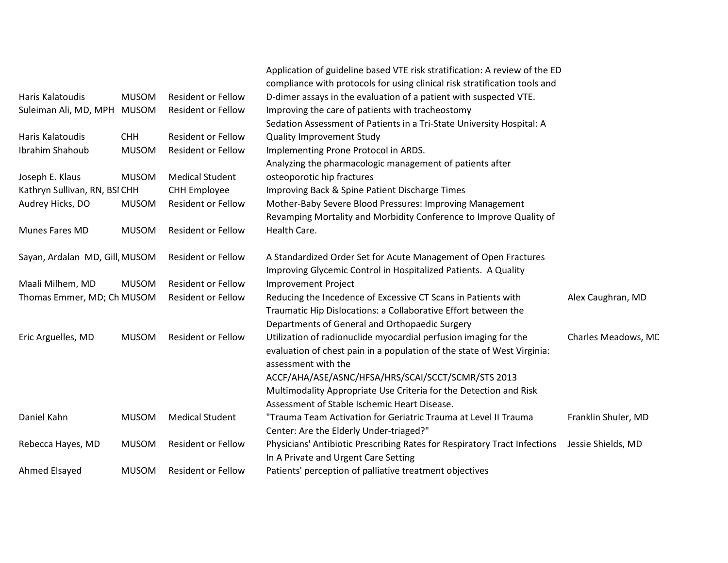|                                |              |                           | Application of guideline based VTE risk stratification: A review of the ED                     |                     |
|--------------------------------|--------------|---------------------------|------------------------------------------------------------------------------------------------|---------------------|
|                                |              |                           | compliance with protocols for using clinical risk stratification tools and                     |                     |
| Haris Kalatoudis               | <b>MUSOM</b> | <b>Resident or Fellow</b> | D-dimer assays in the evaluation of a patient with suspected VTE.                              |                     |
| Suleiman Ali, MD, MPH MUSOM    |              | <b>Resident or Fellow</b> | Improving the care of patients with tracheostomy                                               |                     |
|                                |              |                           | Sedation Assessment of Patients in a Tri-State University Hospital: A                          |                     |
| Haris Kalatoudis               | <b>CHH</b>   | <b>Resident or Fellow</b> | <b>Quality Improvement Study</b>                                                               |                     |
| Ibrahim Shahoub                | <b>MUSOM</b> | <b>Resident or Fellow</b> | Implementing Prone Protocol in ARDS.                                                           |                     |
|                                |              |                           | Analyzing the pharmacologic management of patients after                                       |                     |
| Joseph E. Klaus                | <b>MUSOM</b> | <b>Medical Student</b>    | osteoporotic hip fractures                                                                     |                     |
| Kathryn Sullivan, RN, BSI CHH  |              | <b>CHH Employee</b>       | Improving Back & Spine Patient Discharge Times                                                 |                     |
| Audrey Hicks, DO               | <b>MUSOM</b> | <b>Resident or Fellow</b> | Mother-Baby Severe Blood Pressures: Improving Management                                       |                     |
|                                |              |                           | Revamping Mortality and Morbidity Conference to Improve Quality of                             |                     |
| Munes Fares MD                 | <b>MUSOM</b> | <b>Resident or Fellow</b> | Health Care.                                                                                   |                     |
| Sayan, Ardalan MD, Gill, MUSOM |              | <b>Resident or Fellow</b> | A Standardized Order Set for Acute Management of Open Fractures                                |                     |
|                                |              |                           | Improving Glycemic Control in Hospitalized Patients. A Quality                                 |                     |
| Maali Milhem, MD               | <b>MUSOM</b> | <b>Resident or Fellow</b> | Improvement Project                                                                            |                     |
| Thomas Emmer, MD; Ch MUSOM     |              | <b>Resident or Fellow</b> | Reducing the Incedence of Excessive CT Scans in Patients with                                  | Alex Caughran, MD   |
|                                |              |                           | Traumatic Hip Dislocations: a Collaborative Effort between the                                 |                     |
|                                |              |                           | Departments of General and Orthopaedic Surgery                                                 |                     |
| Eric Arguelles, MD             | <b>MUSOM</b> | <b>Resident or Fellow</b> | Utilization of radionuclide myocardial perfusion imaging for the                               | Charles Meadows, MD |
|                                |              |                           | evaluation of chest pain in a population of the state of West Virginia:<br>assessment with the |                     |
|                                |              |                           | ACCF/AHA/ASE/ASNC/HFSA/HRS/SCAI/SCCT/SCMR/STS 2013                                             |                     |
|                                |              |                           | Multimodality Appropriate Use Criteria for the Detection and Risk                              |                     |
|                                |              |                           | Assessment of Stable Ischemic Heart Disease.                                                   |                     |
| Daniel Kahn                    | <b>MUSOM</b> | <b>Medical Student</b>    | "Trauma Team Activation for Geriatric Trauma at Level II Trauma                                | Franklin Shuler, MD |
|                                |              |                           | Center: Are the Elderly Under-triaged?"                                                        |                     |
| Rebecca Hayes, MD              | <b>MUSOM</b> | <b>Resident or Fellow</b> | Physicians' Antibiotic Prescribing Rates for Respiratory Tract Infections                      | Jessie Shields, MD  |
|                                |              |                           | In A Private and Urgent Care Setting                                                           |                     |
| Ahmed Elsayed                  | <b>MUSOM</b> | <b>Resident or Fellow</b> | Patients' perception of palliative treatment objectives                                        |                     |
|                                |              |                           |                                                                                                |                     |